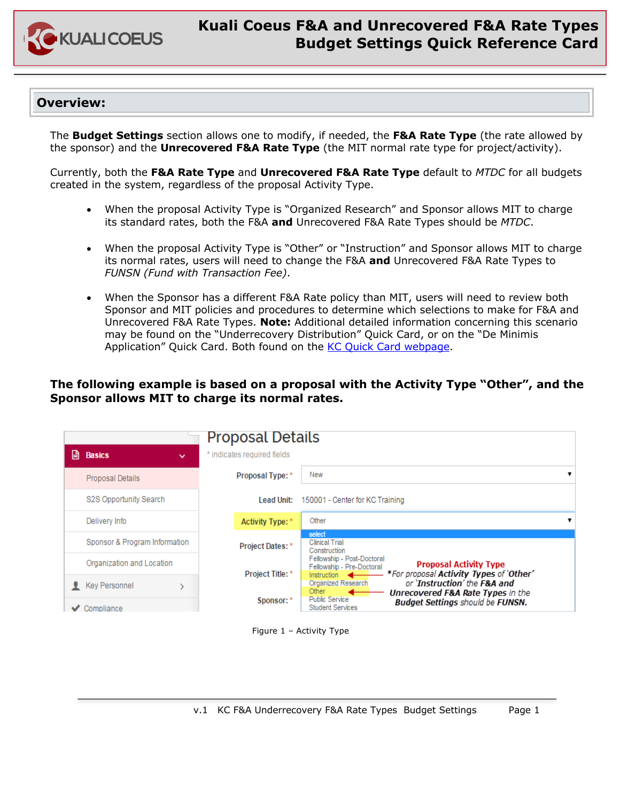

# **Kuali Coeus F&A and Unrecovered F&A Rate Types Budget Settings Quick Reference Card**

### **Overview:**

The **Budget Settings** section allows one to modify, if needed, the **F&A Rate Type** (the rate allowed by the sponsor) and the **Unrecovered F&A Rate Type** (the MIT normal rate type for project/activity).

Currently, both the **F&A Rate Type** and **Unrecovered F&A Rate Type** default to *MTDC* for all budgets created in the system, regardless of the proposal Activity Type.

- When the proposal Activity Type is "Organized Research" and Sponsor allows MIT to charge its standard rates, both the F&A **and** Unrecovered F&A Rate Types should be *MTDC*.
- When the proposal Activity Type is "Other" or "Instruction" and Sponsor allows MIT to charge its normal rates, users will need to change the F&A **and** Unrecovered F&A Rate Types to *FUNSN (Fund with Transaction Fee)*.
- When the Sponsor has a different F&A Rate policy than MIT, users will need to review both Sponsor and MIT policies and procedures to determine which selections to make for F&A and Unrecovered F&A Rate Types. **Note:** Additional detailed information concerning this scenario may be found on the "Underrecovery Distribution" Quick Card, or on the "De Minimis Application" Quick Card. Both found on the KC Quick Card webpage.

### **The following example is based on a proposal with the Activity Type "Other", and the Sponsor allows MIT to charge its normal rates.**

|   |                                    | <b>Proposal Details</b>     |                                                                                                                                                                                                 |
|---|------------------------------------|-----------------------------|-------------------------------------------------------------------------------------------------------------------------------------------------------------------------------------------------|
| ⊟ | <b>Basics</b><br>$\checkmark$      | * indicates required fields |                                                                                                                                                                                                 |
|   | <b>Proposal Details</b>            | Proposal Type: *            | New<br>▼                                                                                                                                                                                        |
|   | S2S Opportunity Search             | <b>Lead Unit:</b>           | 150001 - Center for KC Training                                                                                                                                                                 |
|   | Delivery Info                      | <b>Activity Type: *</b>     | Other                                                                                                                                                                                           |
|   | Sponsor & Program Information      | <b>Project Dates: *</b>     | select<br><b>Clinical Trial</b><br>Construction                                                                                                                                                 |
|   | Organization and Location          | <b>Project Title: *</b>     | Fellowship - Post-Doctoral<br><b>Proposal Activity Type</b><br>Fellowship - Pre-Doctoral<br>*For proposal Activity Types of 'Other'<br>Instruction $\leftarrow$                                 |
|   | <b>Key Personnel</b><br>Compliance | Sponsor: *                  | or 'Instruction' the F&A and<br>Organized Research<br>Other<br>Unrecovered F&A Rate Types in the<br><b>Public Service</b><br><b>Budget Settings should be FUNSN.</b><br><b>Student Services</b> |
|   |                                    |                             | Figure 1 - Activity Type                                                                                                                                                                        |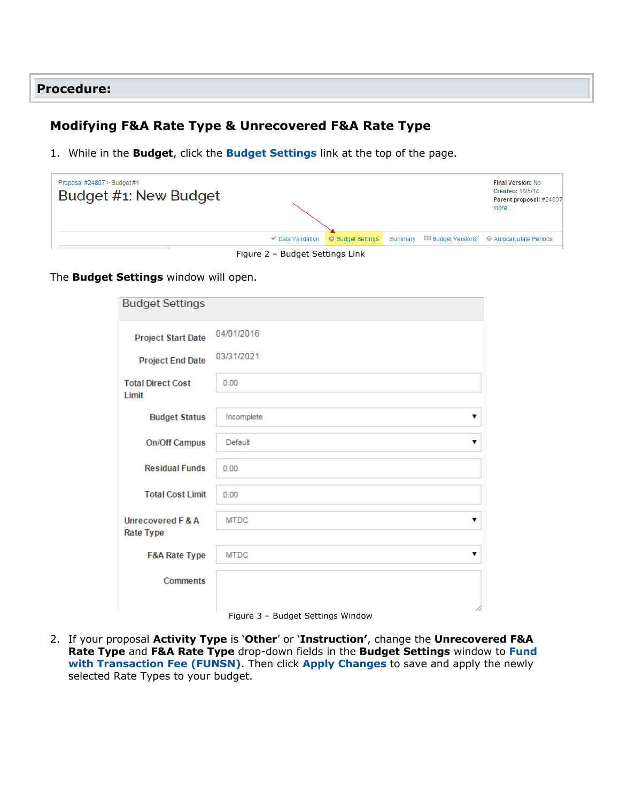#### **Procedure:**

### **Modifying F&A Rate Type & Unrecovered F&A Rate Type**

1. While in the **Budget**, click the **Budget Settings** link at the top of the page.

| Proposal #24807 > Budget #1<br>Budget #1: New Budget |                                              |                          |         | <b>Final Version: No</b><br>Created: 1/25/14<br>Parent proposal: #24807<br>more |
|------------------------------------------------------|----------------------------------------------|--------------------------|---------|---------------------------------------------------------------------------------|
|                                                      | <b>√</b> Data Validation                     | <b>C</b> Budget Settings | Summary |                                                                                 |
|                                                      | $\Gamma$ iausa $\Omega$ Dudaak Cattinga Link |                          |         |                                                                                 |

Figure 2 – Budget Settings Link

#### The **Budget Settings** window will open.

| <b>Budget Settings</b>                |                                                               |
|---------------------------------------|---------------------------------------------------------------|
| <b>Project Start Date</b>             | 04/01/2016                                                    |
| <b>Project End Date</b>               | 03/31/2021                                                    |
| <b>Total Direct Cost</b><br>Limit     | 0.00                                                          |
| <b>Budget Status</b>                  | Incomplete<br>7                                               |
| <b>On/Off Campus</b>                  | Default<br>▼                                                  |
| <b>Residual Funds</b>                 | 0.00                                                          |
| <b>Total Cost Limit</b>               | 0.00                                                          |
| Unrecovered F & A<br><b>Rate Type</b> | <b>MTDC</b><br>▼                                              |
| <b>F&amp;A Rate Type</b>              | <b>MTDC</b><br>▼                                              |
| <b>Comments</b>                       | $\Gamma$ and $\Omega$ . But that $\Omega$ at the set Minds of |

Figure 3 – Budget Settings Window

2. If your proposal **Activity Type** is '**Other**' or '**Instruction'**, change the **Unrecovered F&A Rate Type** and **F&A Rate Type** drop-down fields in the **Budget Settings** window to **Fund with Transaction Fee (FUNSN)**. Then click **Apply Changes** to save and apply the newly selected Rate Types to your budget.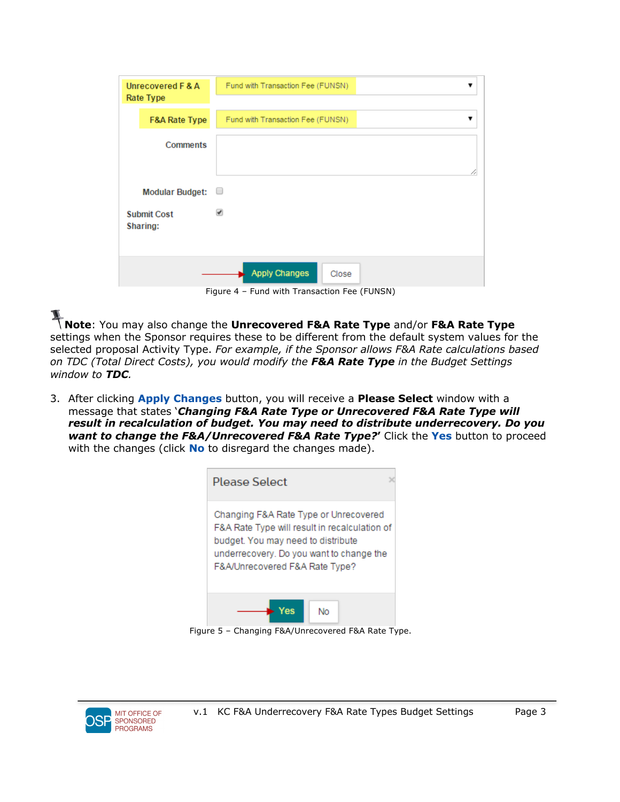| Unrecovered F & A<br>Rate Type |                                | Fund with Transaction Fee (FUNSN) |
|--------------------------------|--------------------------------|-----------------------------------|
|                                | <b>F&amp;A Rate Type</b>       | Fund with Transaction Fee (FUNSN) |
|                                | <b>Comments</b>                |                                   |
|                                | <b>Modular Budget:</b>         | ∪                                 |
|                                | <b>Submit Cost</b><br>Sharing: | ᢦ                                 |
|                                |                                | <b>Apply Changes</b><br>Close     |

Figure 4 – Fund with Transaction Fee (FUNSN)

**Note**: You may also change the **Unrecovered F&A Rate Type** and/or **F&A Rate Type** settings when the Sponsor requires these to be different from the default system values for the selected proposal Activity Type. *For example, if the Sponsor allows F&A Rate calculations based on TDC (Total Direct Costs), you would modify the F&A Rate Type in the Budget Settings window to TDC.*

3. After clicking **Apply Changes** button, you will receive a **Please Select** window with a message that states '*Changing F&A Rate Type or Unrecovered F&A Rate Type will result in recalculation of budget. You may need to distribute underrecovery. Do you want to change the F&A/Unrecovered F&A Rate Type?***'** Click the **Yes** button to proceed with the changes (click **No** to disregard the changes made).

| Please Select                                                                                                                                                                                              |
|------------------------------------------------------------------------------------------------------------------------------------------------------------------------------------------------------------|
| Changing F&A Rate Type or Unrecovered<br>F&A Rate Type will result in recalculation of<br>budget. You may need to distribute<br>underrecovery. Do you want to change the<br>F&A/Unrecovered F&A Rate Type? |
|                                                                                                                                                                                                            |

Figure 5 – Changing F&A/Unrecovered F&A Rate Type.